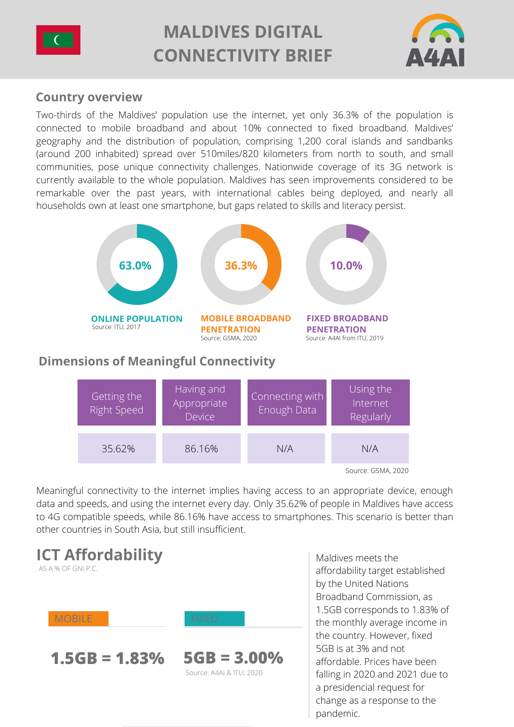

# **MALDIVES DIGITAL CONNECTIVITY BRIEF**



## **Country overview**

Two-thirds of the Maldives' population use the internet, yet only 36.3% of the population is [connected to mobile broadband and about 10% connected to fixed broadband. Maldives'](https://www.britannica.com/place/Maldives) geography and the distribution of population, comprising 1,200 coral islands and sandbanks (around 200 inhabited) spread over 510miles/820 kilometers from north to south, and small [communities, pose unique connectivity challenges. Nationwide coverage of its 3G network is](https://www.mobileconnectivityindex.com/#year=2019&zoneIsocode=MDV) currently available to the whole population. Maldives has seen improvements considered to be remarkable over the past years, with international cables being deployed, and nearly all households own at least one smartphone, [but gaps related to skills and literacy persist.](https://thedocs.worldbank.org/en/doc/93bdbd79b45eeb504743f4514f1095e1-0310062021/original/April-2021-Maldives-Development-Update.pdf)



## **Dimensions of Meaningful Connectivity**



Meaningful connectivity to the internet implies having access to an appropriate device, enough data and speeds, and using the internet every day. Only 35.62% of people in Maldives have access to 4G compatible speeds, while 86.16% have access to smartphones. This scenario is better than other countries in South Asia, but still insufficient.



Maldives meets the affordability target established by the United Nations [Broadband Commission,](https://www.itu.int/en/mediacentre/Pages/2018-PR01.aspx) as 1.5GB corresponds to 1.83% of the monthly average income in the country. However, fixed 5GB is at 3% and not affordable. Prices have been [falling in 2020 and 2021 due to](https://thedocs.worldbank.org/en/doc/93bdbd79b45eeb504743f4514f1095e1-0310062021/original/April-2021-Maldives-Development-Update.pdf) a presidencial request for change as a response to the pandemic.